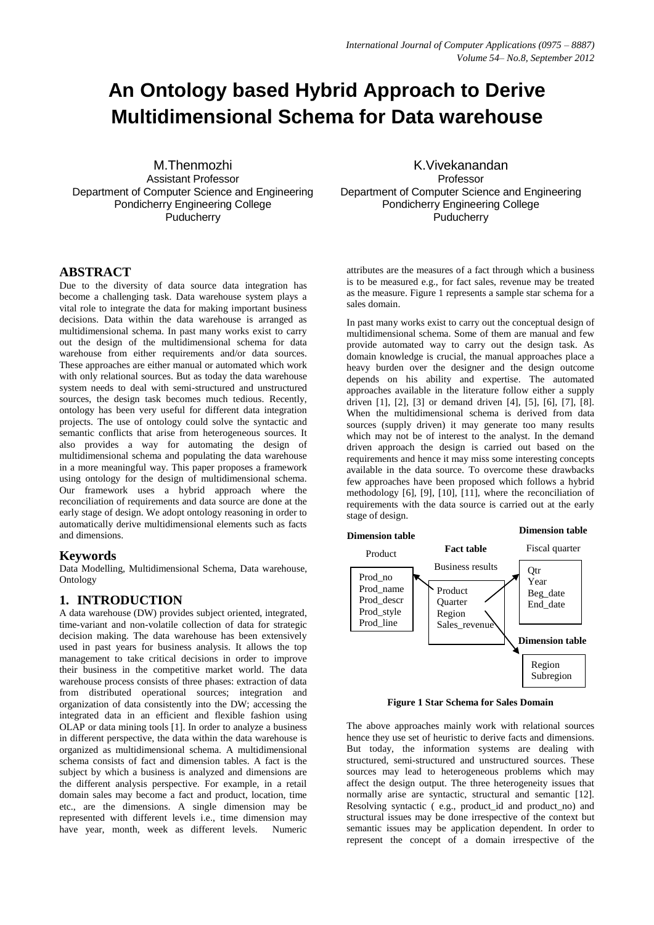# **An Ontology based Hybrid Approach to Derive Multidimensional Schema for Data warehouse**

M.Thenmozhi Assistant Professor Department of Computer Science and Engineering Pondicherry Engineering College **Puducherry** 

#### **ABSTRACT**

Due to the diversity of data source data integration has become a challenging task. Data warehouse system plays a vital role to integrate the data for making important business decisions. Data within the data warehouse is arranged as multidimensional schema. In past many works exist to carry out the design of the multidimensional schema for data warehouse from either requirements and/or data sources. These approaches are either manual or automated which work with only relational sources. But as today the data warehouse system needs to deal with semi-structured and unstructured sources, the design task becomes much tedious. Recently, ontology has been very useful for different data integration projects. The use of ontology could solve the syntactic and semantic conflicts that arise from heterogeneous sources. It also provides a way for automating the design of multidimensional schema and populating the data warehouse in a more meaningful way. This paper proposes a framework using ontology for the design of multidimensional schema. Our framework uses a hybrid approach where the reconciliation of requirements and data source are done at the early stage of design. We adopt ontology reasoning in order to automatically derive multidimensional elements such as facts and dimensions.

#### **Keywords**

Data Modelling, Multidimensional Schema, Data warehouse, Ontology

#### **1. INTRODUCTION**

A data warehouse (DW) provides subject oriented, integrated, time-variant and non-volatile collection of data for strategic decision making. The data warehouse has been extensively used in past years for business analysis. It allows the top management to take critical decisions in order to improve their business in the competitive market world. The data warehouse process consists of three phases: extraction of data from distributed operational sources; integration and organization of data consistently into the DW; accessing the integrated data in an efficient and flexible fashion using OLAP or data mining tools [1]. In order to analyze a business in different perspective, the data within the data warehouse is organized as multidimensional schema. A multidimensional schema consists of fact and dimension tables. A fact is the subject by which a business is analyzed and dimensions are the different analysis perspective. For example, in a retail domain sales may become a fact and product, location, time etc., are the dimensions. A single dimension may be represented with different levels i.e., time dimension may have year, month, week as different levels. Numeric

K.Vivekanandan Professor Department of Computer Science and Engineering Pondicherry Engineering College **Puducherry** 

attributes are the measures of a fact through which a business is to be measured e.g., for fact sales, revenue may be treated as the measure. Figure 1 represents a sample star schema for a sales domain.

In past many works exist to carry out the conceptual design of multidimensional schema. Some of them are manual and few provide automated way to carry out the design task. As domain knowledge is crucial, the manual approaches place a heavy burden over the designer and the design outcome depends on his ability and expertise. The automated approaches available in the literature follow either a supply driven [1], [2], [3] or demand driven [4], [5], [6], [7], [8]. When the multidimensional schema is derived from data sources (supply driven) it may generate too many results which may not be of interest to the analyst. In the demand driven approach the design is carried out based on the requirements and hence it may miss some interesting concepts available in the data source. To overcome these drawbacks few approaches have been proposed which follows a hybrid methodology [6], [9], [10], [11], where the reconciliation of requirements with the data source is carried out at the early stage of design.



**Figure 1 Star Schema for Sales Domain**

The above approaches mainly work with relational sources hence they use set of heuristic to derive facts and dimensions. But today, the information systems are dealing with structured, semi-structured and unstructured sources. These sources may lead to heterogeneous problems which may affect the design output. The three heterogeneity issues that normally arise are syntactic, structural and semantic [12]. Resolving syntactic ( e.g., product\_id and product\_no) and structural issues may be done irrespective of the context but semantic issues may be application dependent. In order to represent the concept of a domain irrespective of the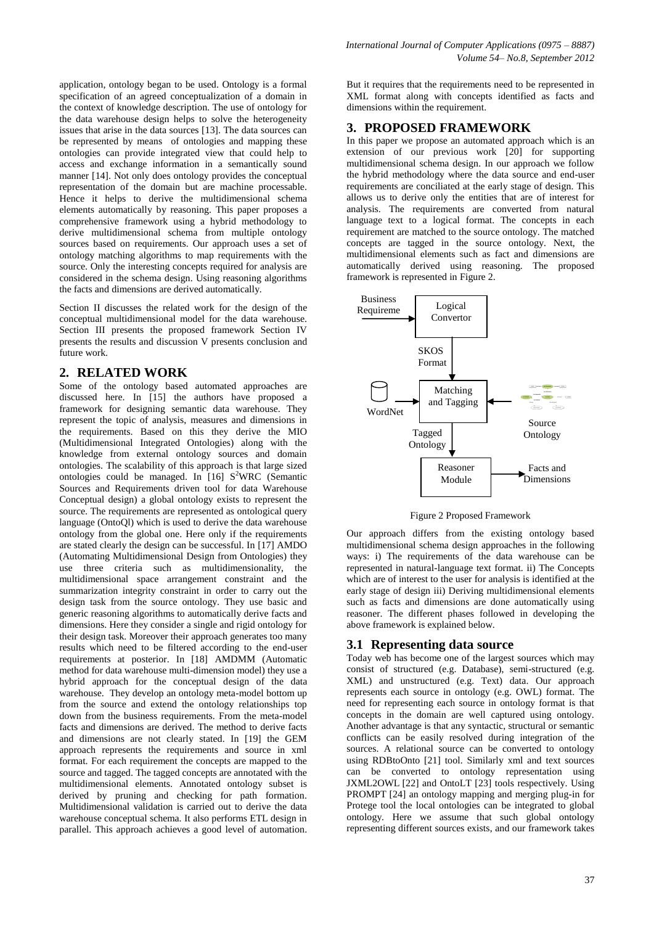application, ontology began to be used. Ontology is a formal specification of an agreed conceptualization of a domain in the context of knowledge description. The use of ontology for the data warehouse design helps to solve the heterogeneity issues that arise in the data sources [13]. The data sources can be represented by means of ontologies and mapping these ontologies can provide integrated view that could help to access and exchange information in a semantically sound manner [14]. Not only does ontology provides the conceptual representation of the domain but are machine processable. Hence it helps to derive the multidimensional schema elements automatically by reasoning. This paper proposes a comprehensive framework using a hybrid methodology to derive multidimensional schema from multiple ontology sources based on requirements. Our approach uses a set of ontology matching algorithms to map requirements with the source. Only the interesting concepts required for analysis are considered in the schema design. Using reasoning algorithms

Section II discusses the related work for the design of the conceptual multidimensional model for the data warehouse. Section III presents the proposed framework Section IV presents the results and discussion V presents conclusion and future work.

the facts and dimensions are derived automatically.

#### **2. RELATED WORK**

Some of the ontology based automated approaches are discussed here. In [15] the authors have proposed a framework for designing semantic data warehouse. They represent the topic of analysis, measures and dimensions in the requirements. Based on this they derive the MIO (Multidimensional Integrated Ontologies) along with the knowledge from external ontology sources and domain ontologies. The scalability of this approach is that large sized ontologies could be managed. In [16] S <sup>2</sup>WRC (Semantic Sources and Requirements driven tool for data Warehouse Conceptual design) a global ontology exists to represent the source. The requirements are represented as ontological query language (OntoQl) which is used to derive the data warehouse ontology from the global one. Here only if the requirements are stated clearly the design can be successful. In [17] AMDO (Automating Multidimensional Design from Ontologies) they use three criteria such as multidimensionality, the multidimensional space arrangement constraint and the summarization integrity constraint in order to carry out the design task from the source ontology. They use basic and generic reasoning algorithms to automatically derive facts and dimensions. Here they consider a single and rigid ontology for their design task. Moreover their approach generates too many results which need to be filtered according to the end-user requirements at posterior. In [18] AMDMM (Automatic method for data warehouse multi-dimension model) they use a hybrid approach for the conceptual design of the data warehouse. They develop an ontology meta-model bottom up from the source and extend the ontology relationships top down from the business requirements. From the meta-model facts and dimensions are derived. The method to derive facts and dimensions are not clearly stated. In [19] the GEM approach represents the requirements and source in xml format. For each requirement the concepts are mapped to the source and tagged. The tagged concepts are annotated with the multidimensional elements. Annotated ontology subset is derived by pruning and checking for path formation. Multidimensional validation is carried out to derive the data warehouse conceptual schema. It also performs ETL design in parallel. This approach achieves a good level of automation.

But it requires that the requirements need to be represented in XML format along with concepts identified as facts and dimensions within the requirement.

#### **3. PROPOSED FRAMEWORK**

In this paper we propose an automated approach which is an extension of our previous work  $[\hat{20}]$  for supporting multidimensional schema design. In our approach we follow the hybrid methodology where the data source and end-user requirements are conciliated at the early stage of design. This allows us to derive only the entities that are of interest for analysis. The requirements are converted from natural language text to a logical format. The concepts in each requirement are matched to the source ontology. The matched concepts are tagged in the source ontology. Next, the multidimensional elements such as fact and dimensions are automatically derived using reasoning. The proposed framework is represented in Figure 2.



Figure 2 Proposed Framework

Our approach differs from the existing ontology based multidimensional schema design approaches in the following ways: i) The requirements of the data warehouse can be represented in natural-language text format. ii) The Concepts which are of interest to the user for analysis is identified at the early stage of design iii) Deriving multidimensional elements such as facts and dimensions are done automatically using reasoner. The different phases followed in developing the above framework is explained below.

## **3.1 Representing data source**

Today web has become one of the largest sources which may consist of structured (e.g. Database), semi-structured (e.g. XML) and unstructured (e.g. Text) data. Our approach represents each source in ontology (e.g. OWL) format. The need for representing each source in ontology format is that concepts in the domain are well captured using ontology. Another advantage is that any syntactic, structural or semantic conflicts can be easily resolved during integration of the sources. A relational source can be converted to ontology using RDBtoOnto [21] tool. Similarly xml and text sources can be converted to ontology representation using JXML2OWL [22] and OntoLT [23] tools respectively. Using PROMPT [24] an ontology mapping and merging plug-in for Protege tool the local ontologies can be integrated to global ontology. Here we assume that such global ontology representing different sources exists, and our framework takes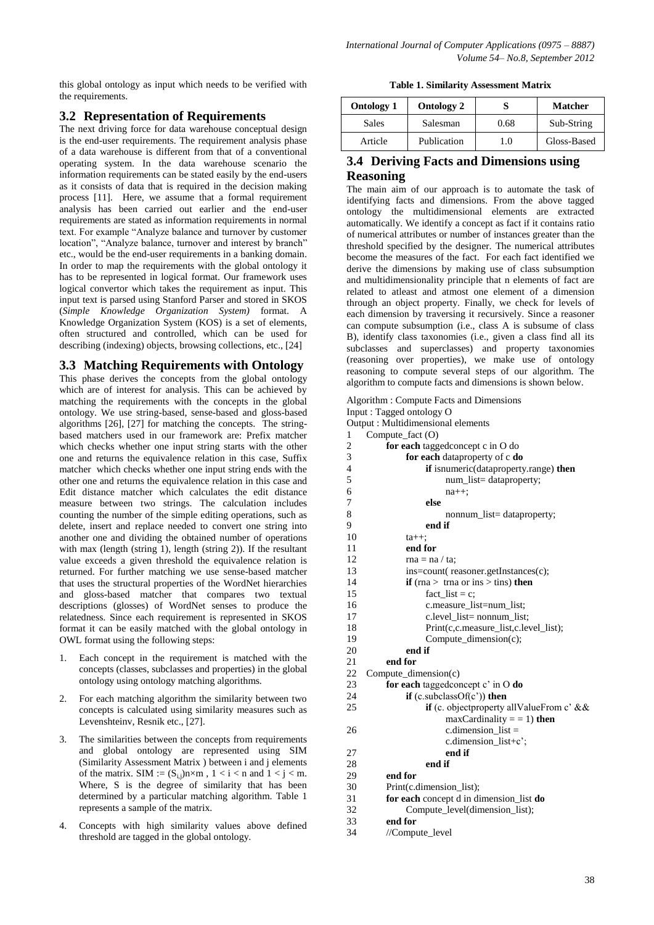this global ontology as input which needs to be verified with the requirements.

# **3.2 Representation of Requirements**

The next driving force for data warehouse conceptual design is the end-user requirements. The requirement analysis phase of a data warehouse is different from that of a conventional operating system. In the data warehouse scenario the information requirements can be stated easily by the end-users as it consists of data that is required in the decision making process [11]. Here, we assume that a formal requirement analysis has been carried out earlier and the end-user requirements are stated as information requirements in normal text. For example "Analyze balance and turnover by customer location", "Analyze balance, turnover and interest by branch" etc., would be the end-user requirements in a banking domain. In order to map the requirements with the global ontology it has to be represented in logical format. Our framework uses logical convertor which takes the requirement as input. This input text is parsed using Stanford Parser and stored in SKOS (*Simple Knowledge Organization System)* format. A Knowledge Organization System (KOS) is a set of elements, often structured and [controlled,](http://en.wikipedia.org/wiki/Controlled_vocabulary) which can be used for describing (indexing) objects, browsing collections, etc., [24]

## **3.3 Matching Requirements with Ontology**

This phase derives the concepts from the global ontology which are of interest for analysis. This can be achieved by matching the requirements with the concepts in the global ontology. We use string-based, sense-based and gloss-based algorithms [26], [27] for matching the concepts. The stringbased matchers used in our framework are: Prefix matcher which checks whether one input string starts with the other one and returns the equivalence relation in this case, Suffix matcher which checks whether one input string ends with the other one and returns the equivalence relation in this case and Edit distance matcher which calculates the edit distance measure between two strings. The calculation includes counting the number of the simple editing operations, such as delete, insert and replace needed to convert one string into another one and dividing the obtained number of operations with max (length (string 1), length (string 2)). If the resultant value exceeds a given threshold the equivalence relation is returned. For further matching we use sense-based matcher that uses the structural properties of the WordNet hierarchies and gloss-based matcher that compares two textual descriptions (glosses) of WordNet senses to produce the relatedness. Since each requirement is represented in SKOS format it can be easily matched with the global ontology in OWL format using the following steps:

- 1. Each concept in the requirement is matched with the concepts (classes, subclasses and properties) in the global ontology using ontology matching algorithms.
- 2. For each matching algorithm the similarity between two concepts is calculated using similarity measures such as Levenshteinv, Resnik etc., [27].
- 3. The similarities between the concepts from requirements and global ontology are represented using SIM (Similarity Assessment Matrix ) between i and j elements of the matrix. SIM :=  $(S_{i,j})n \times m$ ,  $1 < i < n$  and  $1 < j < m$ . Where, S is the degree of similarity that has been determined by a particular matching algorithm. Table 1 represents a sample of the matrix.
- 4. Concepts with high similarity values above defined threshold are tagged in the global ontology.

|  |  | <b>Table 1. Similarity Assessment Matrix</b> |  |
|--|--|----------------------------------------------|--|
|--|--|----------------------------------------------|--|

| <b>Ontology 1</b> | <b>Ontology 2</b> |      | <b>Matcher</b> |
|-------------------|-------------------|------|----------------|
| Sales             | Salesman          | 0.68 | Sub-String     |
| Article           | Publication       | 1.0  | Gloss-Based    |

# **3.4 Deriving Facts and Dimensions using Reasoning**

The main aim of our approach is to automate the task of identifying facts and dimensions. From the above tagged ontology the multidimensional elements are extracted automatically. We identify a concept as fact if it contains ratio of numerical attributes or number of instances greater than the threshold specified by the designer. The numerical attributes become the measures of the fact. For each fact identified we derive the dimensions by making use of class subsumption and multidimensionality principle that n elements of fact are related to atleast and atmost one element of a dimension through an object property. Finally, we check for levels of each dimension by traversing it recursively. Since a reasoner can compute subsumption (i.e., class A is subsume of class B), identify class taxonomies (i.e., given a class find all its subclasses and superclasses) and property taxonomies (reasoning over properties), we make use of ontology reasoning to compute several steps of our algorithm. The algorithm to compute facts and dimensions is shown below.

```
Algorithm : Compute Facts and Dimensions
Input : Tagged ontology O
Output : Multidimensional elements
1 Compute_fact (O)
2 for each taggedconcept c in O do
3 for each dataproperty of c do
4 if isnumeric(dataproperty.range) then
5 num_list= dataproperty;
6 na++;<br>7 else
              7 else
8 nonnum_list= dataproperty;<br>9 end if
              9 end if
10 ta++;
11 end for
12 \text{rna} = \text{na}/\text{ta}:
13 ins=count( reasoner.getInstances(c);
14 if (rna > trna or ins > tins) then
15 fact\_list = c;16 c.measure list=num_list;
17 c.level_list= nonnum_list;
18 Print(c,c.measure_list,c.level_list);
19 Compute_dimension(c);
20 end if
21 end for
22 Compute_dimension(c)
23 for each taggedconcept c' in O do
24 if (c.subclassOf(c')) then
25 if (c. objectproperty allValueFrom c' &&
                  maxCardinality = 1) then
26 c.dimension_list =
                  c.dimension_list+c';
27 end if
28 end if
29 end for<br>30 Print(c.0
       Print(c.dimension_list);
31 for each concept d in dimension_list do
32 Compute_level(dimension_list);
33 end for
34 //Compute level
```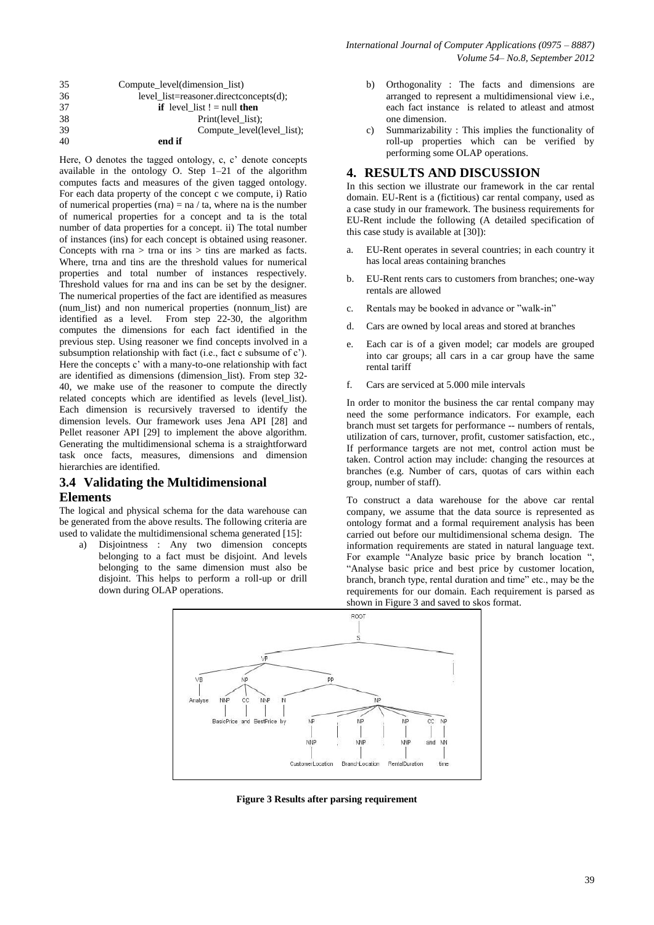| 35 | Compute level(dimension list)          |
|----|----------------------------------------|
| 36 | level list=reasoner.directconcepts(d); |
| 37 | <b>if</b> level list $!=$ null then    |
| 38 | Print(level list);                     |
| 39 | Compute_level(level_list);             |
| 40 | end if                                 |

Here, O denotes the tagged ontology, c, c' denote concepts available in the ontology O. Step 1–21 of the algorithm computes facts and measures of the given tagged ontology. For each data property of the concept c we compute, i) Ratio of numerical properties (rna) =  $na / ta$ , where na is the number of numerical properties for a concept and ta is the total number of data properties for a concept. ii) The total number of instances (ins) for each concept is obtained using reasoner. Concepts with rna  $>$  trna or ins  $>$  tins are marked as facts. Where, trna and tins are the threshold values for numerical properties and total number of instances respectively. Threshold values for rna and ins can be set by the designer. The numerical properties of the fact are identified as measures (num\_list) and non numerical properties (nonnum\_list) are identified as a level. From step 22-30, the algorithm computes the dimensions for each fact identified in the previous step. Using reasoner we find concepts involved in a subsumption relationship with fact (i.e., fact c subsume of c'). Here the concepts c' with a many-to-one relationship with fact are identified as dimensions (dimension\_list). From step 32-40, we make use of the reasoner to compute the directly related concepts which are identified as levels (level\_list). Each dimension is recursively traversed to identify the dimension levels. Our framework uses Jena API [28] and Pellet reasoner API [29] to implement the above algorithm. Generating the multidimensional schema is a straightforward task once facts, measures, dimensions and dimension hierarchies are identified.

# **3.4 Validating the Multidimensional Elements**

The logical and physical schema for the data warehouse can be generated from the above results. The following criteria are used to validate the multidimensional schema generated [15]:

a) Disjointness : Any two dimension concepts belonging to a fact must be disjoint. And levels belonging to the same dimension must also be disjoint. This helps to perform a roll-up or drill down during OLAP operations.

- b) Orthogonality : The facts and dimensions are arranged to represent a multidimensional view i.e., each fact instance is related to atleast and atmost one dimension.
- c) Summarizability : This implies the functionality of roll-up properties which can be verified by performing some OLAP operations.

#### **4. RESULTS AND DISCUSSION**

In this section we illustrate our framework in the car rental domain. EU-Rent is a (fictitious) car rental company, used as a case study in our framework. The business requirements for EU-Rent include the following (A detailed specification of this case study is available at [30]):

- a. EU-Rent operates in several countries; in each country it has local areas containing branches
- b. EU-Rent rents cars to customers from branches; one-way rentals are allowed
- c. Rentals may be booked in advance or "walk-in"
- d. Cars are owned by local areas and stored at branches
- e. Each car is of a given model; car models are grouped into car groups; all cars in a car group have the same rental tariff
- f. Cars are serviced at 5.000 mile intervals

In order to monitor the business the car rental company may need the some performance indicators. For example, each branch must set targets for performance -- numbers of rentals, utilization of cars, turnover, profit, customer satisfaction, etc., If performance targets are not met, control action must be taken. Control action may include: changing the resources at branches (e.g. Number of cars, quotas of cars within each group, number of staff).

To construct a data warehouse for the above car rental company, we assume that the data source is represented as ontology format and a formal requirement analysis has been carried out before our multidimensional schema design. The information requirements are stated in natural language text. For example "Analyze basic price by branch location ", "Analyse basic price and best price by customer location, branch, branch type, rental duration and time" etc., may be the requirements for our domain. Each requirement is parsed as shown in Figure 3 and saved to skos format.



**Figure 3 Results after parsing requirement**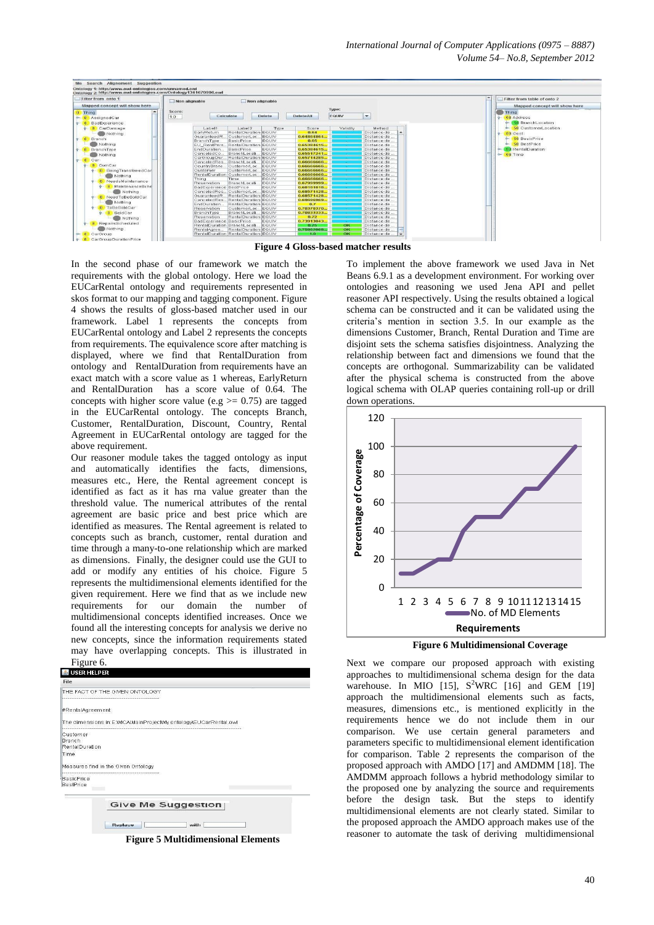*International Journal of Computer Applications (0975 – 8887) Volume 54– No.8, September 2012*



**Figure 4 Gloss-based matcher results**

In the second phase of our framework we match the requirements with the global ontology. Here we load the EUCarRental ontology and requirements represented in skos format to our mapping and tagging component. Figure 4 shows the results of gloss-based matcher used in our framework. Label 1 represents the concepts from EUCarRental ontology and Label 2 represents the concepts from requirements. The equivalence score after matching is displayed, where we find that RentalDuration from ontology and RentalDuration from requirements have an exact match with a score value as 1 whereas, EarlyReturn and RentalDuration has a score value of 0.64. The concepts with higher score value (e.g  $> = 0.75$ ) are tagged in the EUCarRental ontology. The concepts Branch, Customer, RentalDuration, Discount, Country, Rental Agreement in EUCarRental ontology are tagged for the above requirement.

Our reasoner module takes the tagged ontology as input and automatically identifies the facts, dimensions, measures etc., Here, the Rental agreement concept is identified as fact as it has rna value greater than the threshold value. The numerical attributes of the rental agreement are basic price and best price which are identified as measures. The Rental agreement is related to concepts such as branch, customer, rental duration and time through a many-to-one relationship which are marked as dimensions. Finally, the designer could use the GUI to add or modify any entities of his choice. Figure 5 represents the multidimensional elements identified for the given requirement. Here we find that as we include new requirements for our domain the number of multidimensional concepts identified increases. Once we found all the interesting concepts for analysis we derive no new concepts, since the information requirements stated may have overlapping concepts. This is illustrated in Figure 6.

| THE FACT OF THE GIVEN ONTOLOGY<br>#RentalAgreement<br>The dimensions in:E:\MCA\MainProject\My ontology\EUCarRental.owl<br>Branch<br>RentalDuration<br>Time<br>Measures find in the Given Ontology<br><b>BestPrice</b> |                   |  |
|-----------------------------------------------------------------------------------------------------------------------------------------------------------------------------------------------------------------------|-------------------|--|
|                                                                                                                                                                                                                       |                   |  |
|                                                                                                                                                                                                                       |                   |  |
|                                                                                                                                                                                                                       |                   |  |
|                                                                                                                                                                                                                       | Customer          |  |
|                                                                                                                                                                                                                       |                   |  |
|                                                                                                                                                                                                                       |                   |  |
|                                                                                                                                                                                                                       |                   |  |
|                                                                                                                                                                                                                       |                   |  |
|                                                                                                                                                                                                                       | <b>BasicPrice</b> |  |
|                                                                                                                                                                                                                       |                   |  |
|                                                                                                                                                                                                                       |                   |  |
| <b>Give Me Suggestion</b>                                                                                                                                                                                             |                   |  |
|                                                                                                                                                                                                                       |                   |  |
|                                                                                                                                                                                                                       |                   |  |
| Ruplacu<br>with                                                                                                                                                                                                       |                   |  |

To implement the above framework we used Java in Net Beans 6.9.1 as a development environment. For working over ontologies and reasoning we used Jena API and pellet reasoner API respectively. Using the results obtained a logical schema can be constructed and it can be validated using the criteria's mention in section 3.5. In our example as the dimensions Customer, Branch, Rental Duration and Time are disjoint sets the schema satisfies disjointness. Analyzing the relationship between fact and dimensions we found that the concepts are orthogonal. Summarizability can be validated after the physical schema is constructed from the above logical schema with OLAP queries containing roll-up or drill down operations.



Next we compare our proposed approach with existing approaches to multidimensional schema design for the data warehouse. In MIO  $[15]$ ,  $S^2WRC$   $[16]$  and GEM  $[19]$ approach the multidimensional elements such as facts, measures, dimensions etc., is mentioned explicitly in the requirements hence we do not include them in our comparison. We use certain general parameters and parameters specific to multidimensional element identification for comparison. Table 2 represents the comparison of the proposed approach with AMDO [17] and AMDMM [18]. The AMDMM approach follows a hybrid methodology similar to the proposed one by analyzing the source and requirements before the design task. But the steps to identify multidimensional elements are not clearly stated. Similar to the proposed approach the AMDO approach makes use of the reasoner to automate the task of deriving multidimensional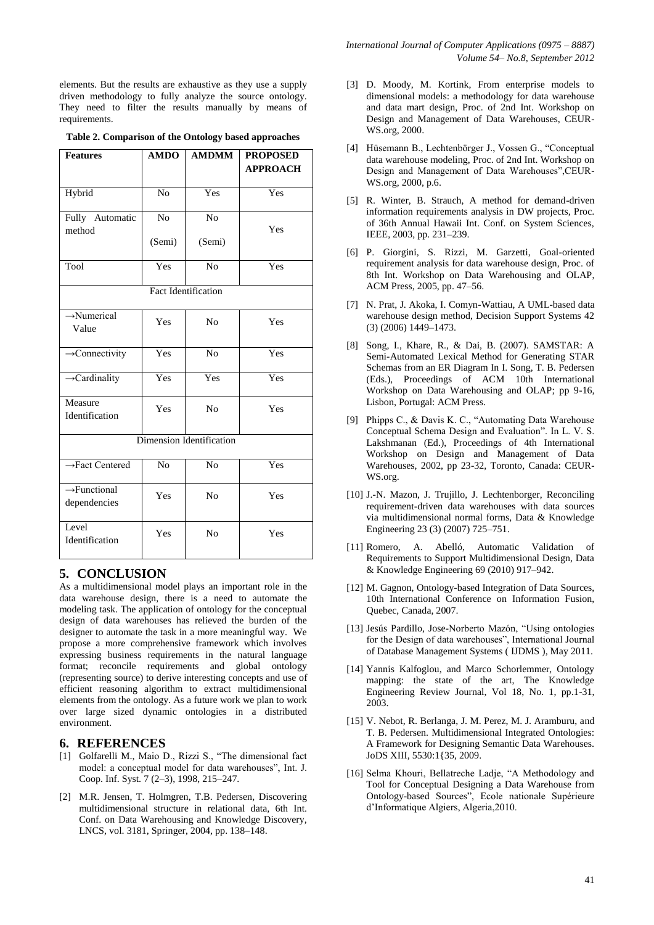elements. But the results are exhaustive as they use a supply driven methodology to fully analyze the source ontology. They need to filter the results manually by means of requirements.

| Table 2. Comparison of the Ontology based approaches |  |  |
|------------------------------------------------------|--|--|
|                                                      |  |  |

| <b>Features</b>                          | <b>AMDO</b>    | <b>AMDMM</b>   | <b>PROPOSED</b><br><b>APPROACH</b> |  |
|------------------------------------------|----------------|----------------|------------------------------------|--|
| Hybrid                                   | N <sub>o</sub> | Yes            | Yes                                |  |
| Fully Automatic<br>method                | N <sub>o</sub> | N <sub>o</sub> | Yes                                |  |
|                                          | (Semi)         | (Semi)         |                                    |  |
| Tool                                     | Yes            | N <sub>o</sub> | Yes                                |  |
| <b>Fact Identification</b>               |                |                |                                    |  |
| $\rightarrow$ Numerical<br>Value         | Yes            | N <sub>0</sub> | Yes                                |  |
| $\rightarrow$ Connectivity               | Yes            | N <sub>o</sub> | Yes                                |  |
| $\rightarrow$ Cardinality                | Yes            | Yes            | Yes                                |  |
| Measure<br>Identification                | Yes            | N <sub>o</sub> | Yes                                |  |
| Dimension Identification                 |                |                |                                    |  |
| $\rightarrow$ Fact Centered              | N <sub>o</sub> | N <sub>o</sub> | Yes                                |  |
| $\rightarrow$ Functional<br>dependencies | Yes            | N <sub>0</sub> | Yes                                |  |
| Level<br>Identification                  | Yes            | No             | Yes                                |  |

## **5. CONCLUSION**

As a multidimensional model plays an important role in the data warehouse design, there is a need to automate the modeling task. The application of ontology for the conceptual design of data warehouses has relieved the burden of the designer to automate the task in a more meaningful way. We propose a more comprehensive framework which involves expressing business requirements in the natural language format; reconcile requirements and global ontology (representing source) to derive interesting concepts and use of efficient reasoning algorithm to extract multidimensional elements from the ontology. As a future work we plan to work over large sized dynamic ontologies in a distributed environment.

#### **6. REFERENCES**

- [1] Golfarelli M., Maio D., Rizzi S., "The dimensional fact model: a conceptual model for data warehouses", Int. J. Coop. Inf. Syst. 7 (2–3), 1998, 215–247.
- [2] M.R. Jensen, T. Holmgren, T.B. Pedersen, Discovering multidimensional structure in relational data, 6th Int. Conf. on Data Warehousing and Knowledge Discovery, LNCS, vol. 3181, Springer, 2004, pp. 138–148.
- [3] D. Moody, M. Kortink, From enterprise models to dimensional models: a methodology for data warehouse and data mart design, Proc. of 2nd Int. Workshop on Design and Management of Data Warehouses, CEUR-WS.org, 2000.
- [4] Hüsemann B., Lechtenbörger J., Vossen G., "Conceptual data warehouse modeling, Proc. of 2nd Int. Workshop on Design and Management of Data Warehouses",CEUR-WS.org, 2000, p.6.
- [5] R. Winter, B. Strauch, A method for demand-driven information requirements analysis in DW projects, Proc. of 36th Annual Hawaii Int. Conf. on System Sciences, IEEE, 2003, pp. 231–239.
- [6] P. Giorgini, S. Rizzi, M. Garzetti, Goal-oriented requirement analysis for data warehouse design, Proc. of 8th Int. Workshop on Data Warehousing and OLAP, ACM Press, 2005, pp. 47–56.
- [7] N. Prat, J. Akoka, I. Comyn-Wattiau, A UML-based data warehouse design method, Decision Support Systems 42 (3) (2006) 1449–1473.
- [8] Song, I., Khare, R., & Dai, B. (2007). SAMSTAR: A Semi-Automated Lexical Method for Generating STAR Schemas from an ER Diagram In I. Song, T. B. Pedersen (Eds.), Proceedings of ACM 10th International Workshop on Data Warehousing and OLAP; pp 9-16, Lisbon, Portugal: ACM Press.
- [9] Phipps C., & Davis K. C., "Automating Data Warehouse Conceptual Schema Design and Evaluation". In L. V. S. Lakshmanan (Ed.), Proceedings of 4th International Workshop on Design and Management of Data Warehouses, 2002, pp 23-32, Toronto, Canada: CEUR-WS.org.
- [10] J.-N. Mazon, J. Trujillo, J. Lechtenborger, Reconciling requirement-driven data warehouses with data sources via multidimensional normal forms, Data & Knowledge Engineering 23 (3) (2007) 725–751.
- [11] Romero, A. Abelló, Automatic Validation of Requirements to Support Multidimensional Design, Data & Knowledge Engineering 69 (2010) 917–942.
- [12] M. Gagnon, Ontology-based Integration of Data Sources, 10th International Conference on Information Fusion, Quebec, Canada, 2007.
- [13] Jesús Pardillo, Jose-Norberto Mazón, "Using ontologies for the Design of data warehouses", International Journal of Database Management Systems ( IJDMS ), May 2011.
- [14] Yannis Kalfoglou, and Marco Schorlemmer, Ontology mapping: the state of the art, The Knowledge Engineering Review Journal, Vol 18, No. 1, pp.1-31, 2003.
- [15] V. Nebot, R. Berlanga, J. M. Perez, M. J. Aramburu, and T. B. Pedersen. Multidimensional Integrated Ontologies: A Framework for Designing Semantic Data Warehouses. JoDS XIII, 5530:1{35, 2009.
- [16] Selma Khouri, Bellatreche Ladje, "A Methodology and Tool for Conceptual Designing a Data Warehouse from Ontology-based Sources", Ecole nationale Supérieure d'Informatique Algiers, Algeria,2010.